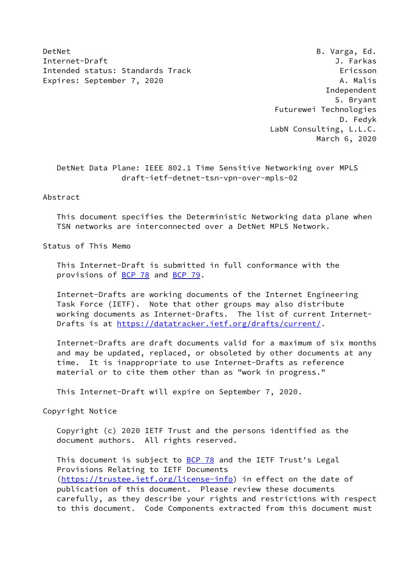DetNet B. Varga, Ed. Internet-Draft J. Farkas Intended status: Standards Track Ericsson Expires: September 7, 2020 A. Malis

 Independent S. Bryant Futurewei Technologies D. Fedyk LabN Consulting, L.L.C. March 6, 2020

 DetNet Data Plane: IEEE 802.1 Time Sensitive Networking over MPLS draft-ietf-detnet-tsn-vpn-over-mpls-02

### Abstract

 This document specifies the Deterministic Networking data plane when TSN networks are interconnected over a DetNet MPLS Network.

Status of This Memo

 This Internet-Draft is submitted in full conformance with the provisions of **BCP 78** and **BCP 79**.

 Internet-Drafts are working documents of the Internet Engineering Task Force (IETF). Note that other groups may also distribute working documents as Internet-Drafts. The list of current Internet Drafts is at<https://datatracker.ietf.org/drafts/current/>.

 Internet-Drafts are draft documents valid for a maximum of six months and may be updated, replaced, or obsoleted by other documents at any time. It is inappropriate to use Internet-Drafts as reference material or to cite them other than as "work in progress."

This Internet-Draft will expire on September 7, 2020.

Copyright Notice

 Copyright (c) 2020 IETF Trust and the persons identified as the document authors. All rights reserved.

This document is subject to **[BCP 78](https://datatracker.ietf.org/doc/pdf/bcp78)** and the IETF Trust's Legal Provisions Relating to IETF Documents [\(https://trustee.ietf.org/license-info](https://trustee.ietf.org/license-info)) in effect on the date of publication of this document. Please review these documents carefully, as they describe your rights and restrictions with respect to this document. Code Components extracted from this document must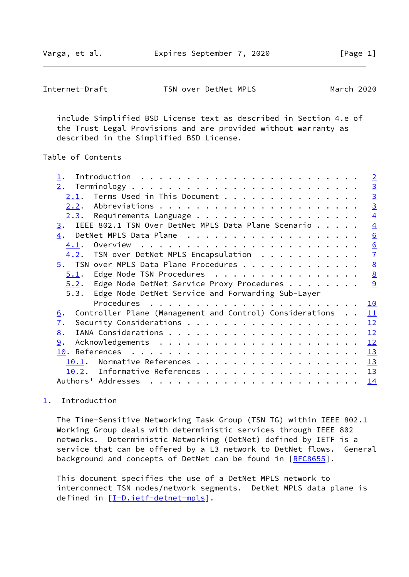<span id="page-1-1"></span>

| Internet-Draft | TSN over DetNet MPLS |  |  | March 2020 |  |
|----------------|----------------------|--|--|------------|--|
|----------------|----------------------|--|--|------------|--|

 include Simplified BSD License text as described in Section 4.e of the Trust Legal Provisions and are provided without warranty as described in the Simplified BSD License.

## Table of Contents

|                                                                                                                                                                                                                                                                                                                                                                                                                                                                                                               | $\overline{2}$  |
|---------------------------------------------------------------------------------------------------------------------------------------------------------------------------------------------------------------------------------------------------------------------------------------------------------------------------------------------------------------------------------------------------------------------------------------------------------------------------------------------------------------|-----------------|
| 2.                                                                                                                                                                                                                                                                                                                                                                                                                                                                                                            |                 |
| $2.1$ . Terms Used in This Document                                                                                                                                                                                                                                                                                                                                                                                                                                                                           | $\frac{3}{3}$   |
|                                                                                                                                                                                                                                                                                                                                                                                                                                                                                                               |                 |
|                                                                                                                                                                                                                                                                                                                                                                                                                                                                                                               | $\overline{4}$  |
| IEEE 802.1 TSN Over DetNet MPLS Data Plane Scenario<br>3.                                                                                                                                                                                                                                                                                                                                                                                                                                                     | $\overline{4}$  |
|                                                                                                                                                                                                                                                                                                                                                                                                                                                                                                               | $\underline{6}$ |
| 4.1.                                                                                                                                                                                                                                                                                                                                                                                                                                                                                                          | $\underline{6}$ |
| TSN over DetNet MPLS Encapsulation<br>4.2.                                                                                                                                                                                                                                                                                                                                                                                                                                                                    | $\overline{1}$  |
| 5. TSN over MPLS Data Plane Procedures                                                                                                                                                                                                                                                                                                                                                                                                                                                                        | 8               |
| Edge Node TSN Procedures<br>5.1.                                                                                                                                                                                                                                                                                                                                                                                                                                                                              | 8               |
| 5.2. Edge Node DetNet Service Proxy Procedures                                                                                                                                                                                                                                                                                                                                                                                                                                                                | 9               |
| Edge Node DetNet Service and Forwarding Sub-Layer<br>5.3.                                                                                                                                                                                                                                                                                                                                                                                                                                                     |                 |
|                                                                                                                                                                                                                                                                                                                                                                                                                                                                                                               | 10              |
| Controller Plane (Management and Control) Considerations<br>6.                                                                                                                                                                                                                                                                                                                                                                                                                                                | 11              |
| $\mathbf{I}$ .                                                                                                                                                                                                                                                                                                                                                                                                                                                                                                | 12              |
| 8.                                                                                                                                                                                                                                                                                                                                                                                                                                                                                                            | 12              |
| 9.                                                                                                                                                                                                                                                                                                                                                                                                                                                                                                            | 12              |
|                                                                                                                                                                                                                                                                                                                                                                                                                                                                                                               | 13              |
| 10.1.                                                                                                                                                                                                                                                                                                                                                                                                                                                                                                         | 13              |
| Informative References<br>10.2.                                                                                                                                                                                                                                                                                                                                                                                                                                                                               | 13              |
| Authors' Addresses<br>$\mathbf{r}^{\mathsf{T}} \cdot \mathbf{r}^{\mathsf{T}} \cdot \mathbf{r}^{\mathsf{T}} \cdot \mathbf{r}^{\mathsf{T}} \cdot \mathbf{r}^{\mathsf{T}} \cdot \mathbf{r}^{\mathsf{T}} \cdot \mathbf{r}^{\mathsf{T}} \cdot \mathbf{r}^{\mathsf{T}} \cdot \mathbf{r}^{\mathsf{T}} \cdot \mathbf{r}^{\mathsf{T}} \cdot \mathbf{r}^{\mathsf{T}} \cdot \mathbf{r}^{\mathsf{T}} \cdot \mathbf{r}^{\mathsf{T}} \cdot \mathbf{r}^{\mathsf{T}} \cdot \mathbf{r}^{\mathsf{T}} \cdot \mathbf{r}^{\mathsf$ | 14              |
|                                                                                                                                                                                                                                                                                                                                                                                                                                                                                                               |                 |

# <span id="page-1-0"></span>[1](#page-1-0). Introduction

 The Time-Sensitive Networking Task Group (TSN TG) within IEEE 802.1 Working Group deals with deterministic services through IEEE 802 networks. Deterministic Networking (DetNet) defined by IETF is a service that can be offered by a L3 network to DetNet flows. General background and concepts of DetNet can be found in [[RFC8655](https://datatracker.ietf.org/doc/pdf/rfc8655)].

 This document specifies the use of a DetNet MPLS network to interconnect TSN nodes/network segments. DetNet MPLS data plane is defined in [[I-D.ietf-detnet-mpls\]](#page-13-6).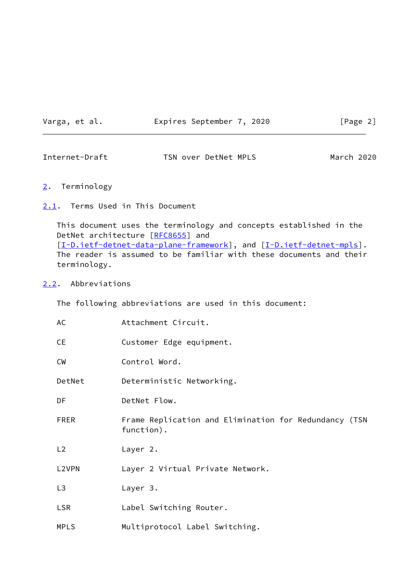Varga, et al. **Expires September 7, 2020** [Page 2]

<span id="page-2-1"></span>Internet-Draft TSN over DetNet MPLS March 2020

### <span id="page-2-0"></span>[2](#page-2-0). Terminology

<span id="page-2-2"></span>[2.1](#page-2-2). Terms Used in This Document

 This document uses the terminology and concepts established in the DetNet architecture [\[RFC8655](https://datatracker.ietf.org/doc/pdf/rfc8655)] and [\[I-D.ietf-detnet-data-plane-framework](#page-14-2)], and [\[I-D.ietf-detnet-mpls](#page-13-6)]. The reader is assumed to be familiar with these documents and their terminology.

### <span id="page-2-3"></span>[2.2](#page-2-3). Abbreviations

The following abbreviations are used in this document:

| AC             | Attachment Circuit.                                                 |
|----------------|---------------------------------------------------------------------|
| <b>CE</b>      | Customer Edge equipment.                                            |
| <b>CW</b>      | Control Word.                                                       |
| DetNet         | Deterministic Networking.                                           |
| DF             | DetNet Flow.                                                        |
| <b>FRER</b>    | Frame Replication and Elimination for Redundancy (TSN<br>function). |
| L2             | Layer 2.                                                            |
| L2VPN          | Layer 2 Virtual Private Network.                                    |
| L <sub>3</sub> | Layer 3.                                                            |
| <b>LSR</b>     | Label Switching Router.                                             |
| <b>MPLS</b>    | Multiprotocol Label Switching.                                      |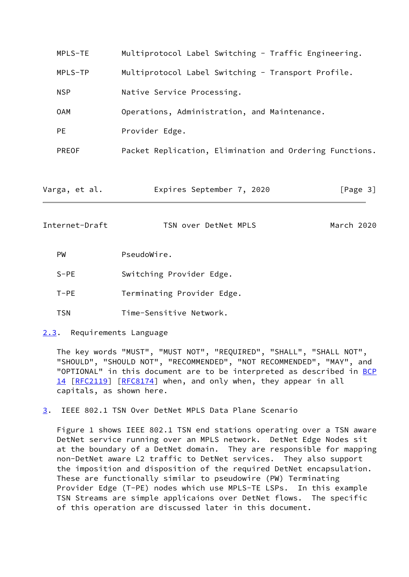| MPLS-TE        | Multiprotocol Label Switching - Traffic Engineering.    |            |  |  |  |
|----------------|---------------------------------------------------------|------------|--|--|--|
| MPLS-TP        | Multiprotocol Label Switching - Transport Profile.      |            |  |  |  |
| <b>NSP</b>     | Native Service Processing.                              |            |  |  |  |
| <b>OAM</b>     | Operations, Administration, and Maintenance.            |            |  |  |  |
| <b>PE</b>      | Provider Edge.                                          |            |  |  |  |
| <b>PREOF</b>   | Packet Replication, Elimination and Ordering Functions. |            |  |  |  |
|                |                                                         |            |  |  |  |
| Varga, et al.  | Expires September 7, 2020                               | [Page 3]   |  |  |  |
| Internet-Draft | TSN over DetNet MPLS                                    | March 2020 |  |  |  |
| PW             | PseudoWire.                                             |            |  |  |  |
| $S-PE$         | Switching Provider Edge.                                |            |  |  |  |
| $T-PE$         | Terminating Provider Edge.                              |            |  |  |  |

- <span id="page-3-1"></span>TSN Time-Sensitive Network.
- <span id="page-3-0"></span>[2.3](#page-3-0). Requirements Language

 The key words "MUST", "MUST NOT", "REQUIRED", "SHALL", "SHALL NOT", "SHOULD", "SHOULD NOT", "RECOMMENDED", "NOT RECOMMENDED", "MAY", and "OPTIONAL" in this document are to be interpreted as described in [BCP](https://datatracker.ietf.org/doc/pdf/bcp14) [14](https://datatracker.ietf.org/doc/pdf/bcp14) [[RFC2119\]](https://datatracker.ietf.org/doc/pdf/rfc2119) [\[RFC8174](https://datatracker.ietf.org/doc/pdf/rfc8174)] when, and only when, they appear in all capitals, as shown here.

<span id="page-3-2"></span>[3](#page-3-2). IEEE 802.1 TSN Over DetNet MPLS Data Plane Scenario

 Figure 1 shows IEEE 802.1 TSN end stations operating over a TSN aware DetNet service running over an MPLS network. DetNet Edge Nodes sit at the boundary of a DetNet domain. They are responsible for mapping non-DetNet aware L2 traffic to DetNet services. They also support the imposition and disposition of the required DetNet encapsulation. These are functionally similar to pseudowire (PW) Terminating Provider Edge (T-PE) nodes which use MPLS-TE LSPs. In this example TSN Streams are simple applicaions over DetNet flows. The specific of this operation are discussed later in this document.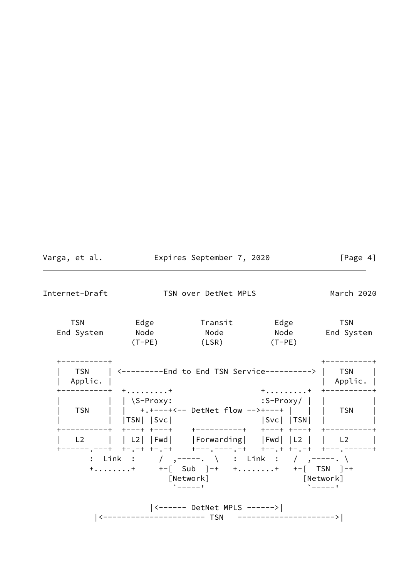|                         |                | Varga, et al.             Expires September 7, 2020                                                                                                                                                                                                                                           |                                              | [Page 4]                   |
|-------------------------|----------------|-----------------------------------------------------------------------------------------------------------------------------------------------------------------------------------------------------------------------------------------------------------------------------------------------|----------------------------------------------|----------------------------|
| Internet-Draft          |                | TSN over DetNet MPLS                                                                                                                                                                                                                                                                          |                                              | March 2020                 |
| <b>TSN</b>              |                | End System Node Node Node Node End System<br>$(T-PE)$ $(LSR)$ $(T-PE)$                                                                                                                                                                                                                        |                                              | <b>TSN</b>                 |
| +----------+<br>Applic. |                | TSN   <--------End to End TSN Service--------->   TSN                                                                                                                                                                                                                                         |                                              | $ $ Applic. $ $            |
|                         | ----------+ ++ | $\begin{array}{ccccccc}   &   &   &   \text{TSN}   &   \text{Svc}   & & &   \text{Svc}   &   \text{TSN}   &   & &   \text{Svc}   &   \text{TSN}   &   & &   \text{Svc}   &   \text{TSN}   &   &   \end{array}$                                                                                | $+ \ldots \ldots \ldots + \ldots + \ldots +$ |                            |
|                         |                | L2     L2   Fwd   Forwarding   Fwd   L2     L2                                                                                                                                                                                                                                                |                                              |                            |
|                         |                | +------,---+ +-,-+ +-,-+   +---,----,-+   +--,-+ +---,-------+<br>: Link : / ,-----. \ : Link : / ,-----. \<br>$+ \ldots \ldots \ldots +$ $+  \lceil$ Sub $\rceil - +$ $+ \ldots \ldots +$ $+  \lceil$ TSN $\rceil - +$<br>[Network]<br>$\sum_{n=1}^{\infty}$<br> <------ DetNet MPLS ------> |                                              | [Network]<br>$5 - - - - 1$ |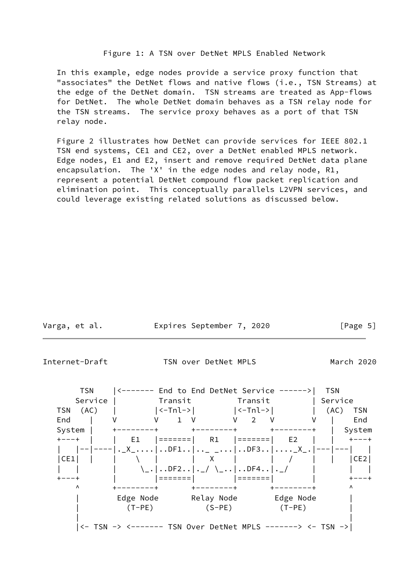### Figure 1: A TSN over DetNet MPLS Enabled Network

 In this example, edge nodes provide a service proxy function that "associates" the DetNet flows and native flows (i.e., TSN Streams) at the edge of the DetNet domain. TSN streams are treated as App-flows for DetNet. The whole DetNet domain behaves as a TSN relay node for the TSN streams. The service proxy behaves as a port of that TSN relay node.

 Figure 2 illustrates how DetNet can provide services for IEEE 802.1 TSN end systems, CE1 and CE2, over a DetNet enabled MPLS network. Edge nodes, E1 and E2, insert and remove required DetNet data plane encapsulation. The 'X' in the edge nodes and relay node, R1, represent a potential DetNet compound flow packet replication and elimination point. This conceptually parallels L2VPN services, and could leverage existing related solutions as discussed below.

| Varga, et al. | Expires September 7, 2020 | [Page 5] |
|---------------|---------------------------|----------|
|               |                           |          |

<span id="page-5-0"></span>Internet-Draft TSN over DetNet MPLS March 2020

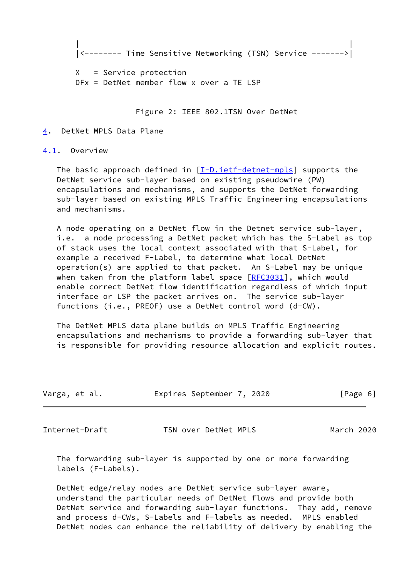```
 | |
|<-------- Time Sensitive Networking (TSN) Service ------->|
```
 X = Service protection DFx = DetNet member flow x over a TE LSP

Figure 2: IEEE 802.1TSN Over DetNet

#### <span id="page-6-0"></span>[4](#page-6-0). DetNet MPLS Data Plane

<span id="page-6-1"></span>[4.1](#page-6-1). Overview

The basic approach defined in  $[I-D.iett-detnet-mpls]$  supports the DetNet service sub-layer based on existing pseudowire (PW) encapsulations and mechanisms, and supports the DetNet forwarding sub-layer based on existing MPLS Traffic Engineering encapsulations and mechanisms.

 A node operating on a DetNet flow in the Detnet service sub-layer, i.e. a node processing a DetNet packet which has the S-Label as top of stack uses the local context associated with that S-Label, for example a received F-Label, to determine what local DetNet operation(s) are applied to that packet. An S-Label may be unique when taken from the platform label space  $[REC3031]$ , which would enable correct DetNet flow identification regardless of which input interface or LSP the packet arrives on. The service sub-layer functions (i.e., PREOF) use a DetNet control word (d-CW).

 The DetNet MPLS data plane builds on MPLS Traffic Engineering encapsulations and mechanisms to provide a forwarding sub-layer that is responsible for providing resource allocation and explicit routes.

| Varga, et al. | Expires September 7, 2020 | [Page 6] |
|---------------|---------------------------|----------|
|               |                           |          |

<span id="page-6-2"></span>

Internet-Draft TSN over DetNet MPLS March 2020

 The forwarding sub-layer is supported by one or more forwarding labels (F-Labels).

 DetNet edge/relay nodes are DetNet service sub-layer aware, understand the particular needs of DetNet flows and provide both DetNet service and forwarding sub-layer functions. They add, remove and process d-CWs, S-Labels and F-labels as needed. MPLS enabled DetNet nodes can enhance the reliability of delivery by enabling the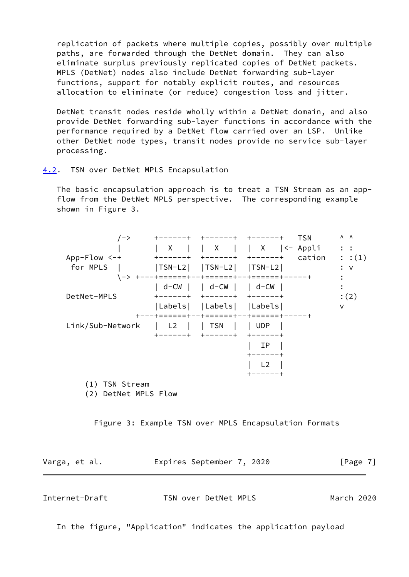replication of packets where multiple copies, possibly over multiple paths, are forwarded through the DetNet domain. They can also eliminate surplus previously replicated copies of DetNet packets. MPLS (DetNet) nodes also include DetNet forwarding sub-layer functions, support for notably explicit routes, and resources allocation to eliminate (or reduce) congestion loss and jitter.

 DetNet transit nodes reside wholly within a DetNet domain, and also provide DetNet forwarding sub-layer functions in accordance with the performance required by a DetNet flow carried over an LSP. Unlike other DetNet node types, transit nodes provide no service sub-layer processing.

<span id="page-7-0"></span>[4.2](#page-7-0). TSN over DetNet MPLS Encapsulation

 The basic encapsulation approach is to treat a TSN Stream as an app flow from the DetNet MPLS perspective. The corresponding example shown in Figure 3.

| $/->$<br>$App-Flow < -+$                                  | -----+<br>X<br>-+                            | $\ddot{}$<br>+------<br>$\vert$ $\vert$ $\vert$ $\vert$ $\vert$ $\vert$<br>$+ - - - - - +$ | <b>TSN</b><br>+-----<br>    X  <- Appli<br>cation<br>$+ - - - - - +$ | $\Lambda$ $\Lambda$<br>$\ddot{\cdot}$ :<br>: :(1) |
|-----------------------------------------------------------|----------------------------------------------|--------------------------------------------------------------------------------------------|----------------------------------------------------------------------|---------------------------------------------------|
| for MPLS                                                  | $ TSN-L2 $                                   | $ TSN-L2 $ $ TSN-L2 $<br>キニニニニニニ+<br>  d-CW     d-CW     d-CW                              | <b>--+======+-</b>                                                   | $:$ $\vee$                                        |
| DetNet-MPLS                                               | ------+<br> Labels                           | $+ - - - - - +$<br> Labels                                                                 | ナーーーーーー<br> Labels                                                   | :(2)<br>v                                         |
| Link/Sub-Network                                          | L <sub>2</sub><br>$\mathbf{L}$<br>-+<br>---- | $ $ TSN<br>$\pm$                                                                           | <b>UDP</b><br>$+ \cdot$<br>ΙP                                        |                                                   |
|                                                           |                                              |                                                                                            | L <sub>2</sub>                                                       |                                                   |
| TSN Stream<br>(1)                                         |                                              |                                                                                            |                                                                      |                                                   |
| $\sim$<br>$R \cup M$ $\cup$ $M \cap R$ $\subset$ $R \cap$ |                                              |                                                                                            |                                                                      |                                                   |

(2) DetNet MPLS Flow

Figure 3: Example TSN over MPLS Encapsulation Formats

Varga, et al. **Expires September 7, 2020** [Page 7]

<span id="page-7-1"></span>

| Internet-Draft | TSN over DetNet MPLS | March 2020 |  |
|----------------|----------------------|------------|--|
|                |                      |            |  |

In the figure, "Application" indicates the application payload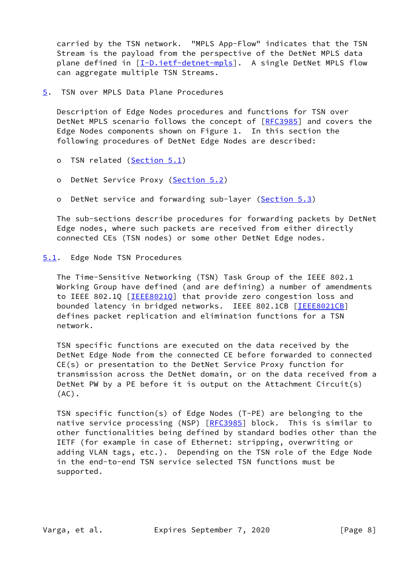carried by the TSN network. "MPLS App-Flow" indicates that the TSN Stream is the payload from the perspective of the DetNet MPLS data plane defined in [\[I-D.ietf-detnet-mpls](#page-13-6)]. A single DetNet MPLS flow can aggregate multiple TSN Streams.

<span id="page-8-0"></span>[5](#page-8-0). TSN over MPLS Data Plane Procedures

 Description of Edge Nodes procedures and functions for TSN over DetNet MPLS scenario follows the concept of [\[RFC3985](https://datatracker.ietf.org/doc/pdf/rfc3985)] and covers the Edge Nodes components shown on Figure 1. In this section the following procedures of DetNet Edge Nodes are described:

- o TSN related [\(Section 5.1](#page-8-1))
- o DetNet Service Proxy [\(Section 5.2](#page-9-0))
- o DetNet service and forwarding sub-layer ([Section 5.3\)](#page-10-1)

 The sub-sections describe procedures for forwarding packets by DetNet Edge nodes, where such packets are received from either directly connected CEs (TSN nodes) or some other DetNet Edge nodes.

### <span id="page-8-1"></span>[5.1](#page-8-1). Edge Node TSN Procedures

 The Time-Sensitive Networking (TSN) Task Group of the IEEE 802.1 Working Group have defined (and are defining) a number of amendments to IEEE 802.1Q [\[IEEE8021Q](#page-14-3)] that provide zero congestion loss and bounded latency in bridged networks. IEEE 802.1CB [[IEEE8021CB\]](#page-14-4) defines packet replication and elimination functions for a TSN network.

 TSN specific functions are executed on the data received by the DetNet Edge Node from the connected CE before forwarded to connected CE(s) or presentation to the DetNet Service Proxy function for transmission across the DetNet domain, or on the data received from a DetNet PW by a PE before it is output on the Attachment Circuit(s)  $(AC)$ .

 TSN specific function(s) of Edge Nodes (T-PE) are belonging to the native service processing (NSP) [\[RFC3985](https://datatracker.ietf.org/doc/pdf/rfc3985)] block. This is similar to other functionalities being defined by standard bodies other than the IETF (for example in case of Ethernet: stripping, overwriting or adding VLAN tags, etc.). Depending on the TSN role of the Edge Node in the end-to-end TSN service selected TSN functions must be supported.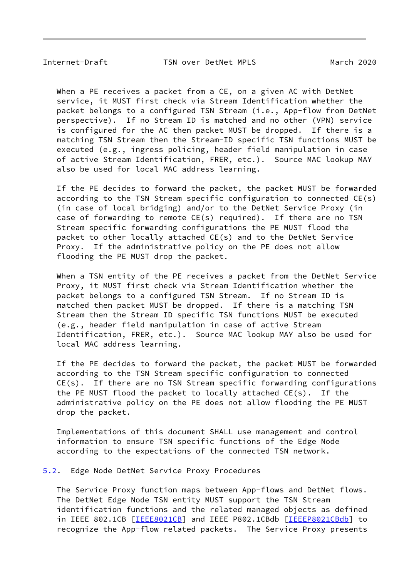<span id="page-9-1"></span>Internet-Draft TSN over DetNet MPLS March 2020

 When a PE receives a packet from a CE, on a given AC with DetNet service, it MUST first check via Stream Identification whether the packet belongs to a configured TSN Stream (i.e., App-flow from DetNet perspective). If no Stream ID is matched and no other (VPN) service is configured for the AC then packet MUST be dropped. If there is a matching TSN Stream then the Stream-ID specific TSN functions MUST be executed (e.g., ingress policing, header field manipulation in case of active Stream Identification, FRER, etc.). Source MAC lookup MAY also be used for local MAC address learning.

 If the PE decides to forward the packet, the packet MUST be forwarded according to the TSN Stream specific configuration to connected CE(s) (in case of local bridging) and/or to the DetNet Service Proxy (in case of forwarding to remote CE(s) required). If there are no TSN Stream specific forwarding configurations the PE MUST flood the packet to other locally attached CE(s) and to the DetNet Service Proxy. If the administrative policy on the PE does not allow flooding the PE MUST drop the packet.

 When a TSN entity of the PE receives a packet from the DetNet Service Proxy, it MUST first check via Stream Identification whether the packet belongs to a configured TSN Stream. If no Stream ID is matched then packet MUST be dropped. If there is a matching TSN Stream then the Stream ID specific TSN functions MUST be executed (e.g., header field manipulation in case of active Stream Identification, FRER, etc.). Source MAC lookup MAY also be used for local MAC address learning.

 If the PE decides to forward the packet, the packet MUST be forwarded according to the TSN Stream specific configuration to connected CE(s). If there are no TSN Stream specific forwarding configurations the PE MUST flood the packet to locally attached CE(s). If the administrative policy on the PE does not allow flooding the PE MUST drop the packet.

 Implementations of this document SHALL use management and control information to ensure TSN specific functions of the Edge Node according to the expectations of the connected TSN network.

#### <span id="page-9-0"></span>[5.2](#page-9-0). Edge Node DetNet Service Proxy Procedures

 The Service Proxy function maps between App-flows and DetNet flows. The DetNet Edge Node TSN entity MUST support the TSN Stream identification functions and the related managed objects as defined in IEEE 802.1CB [\[IEEE8021CB\]](#page-14-4) and IEEE P802.1CBdb [\[IEEEP8021CBdb\]](#page-14-5) to recognize the App-flow related packets. The Service Proxy presents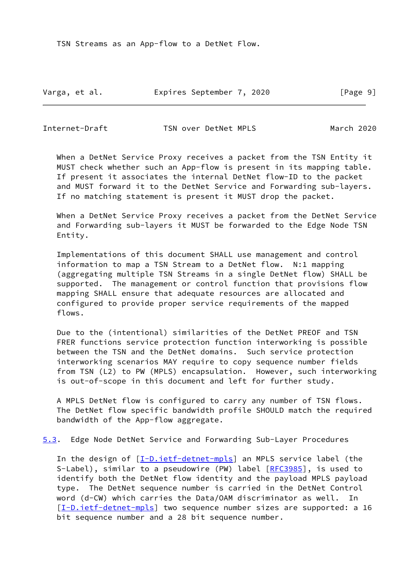TSN Streams as an App-flow to a DetNet Flow.

Varga, et al. Expires September 7, 2020 [Page 9]

<span id="page-10-0"></span>Internet-Draft TSN over DetNet MPLS March 2020

 When a DetNet Service Proxy receives a packet from the TSN Entity it MUST check whether such an App-flow is present in its mapping table. If present it associates the internal DetNet flow-ID to the packet and MUST forward it to the DetNet Service and Forwarding sub-layers. If no matching statement is present it MUST drop the packet.

 When a DetNet Service Proxy receives a packet from the DetNet Service and Forwarding sub-layers it MUST be forwarded to the Edge Node TSN Entity.

 Implementations of this document SHALL use management and control information to map a TSN Stream to a DetNet flow. N:1 mapping (aggregating multiple TSN Streams in a single DetNet flow) SHALL be supported. The management or control function that provisions flow mapping SHALL ensure that adequate resources are allocated and configured to provide proper service requirements of the mapped flows.

 Due to the (intentional) similarities of the DetNet PREOF and TSN FRER functions service protection function interworking is possible between the TSN and the DetNet domains. Such service protection interworking scenarios MAY require to copy sequence number fields from TSN (L2) to PW (MPLS) encapsulation. However, such interworking is out-of-scope in this document and left for further study.

 A MPLS DetNet flow is configured to carry any number of TSN flows. The DetNet flow specific bandwidth profile SHOULD match the required bandwidth of the App-flow aggregate.

<span id="page-10-1"></span>[5.3](#page-10-1). Edge Node DetNet Service and Forwarding Sub-Layer Procedures

In the design of [\[I-D.ietf-detnet-mpls](#page-13-6)] an MPLS service label (the S-Label), similar to a pseudowire (PW) label [\[RFC3985](https://datatracker.ietf.org/doc/pdf/rfc3985)], is used to identify both the DetNet flow identity and the payload MPLS payload type. The DetNet sequence number is carried in the DetNet Control word (d-CW) which carries the Data/OAM discriminator as well. In [\[I-D.ietf-detnet-mpls](#page-13-6)] two sequence number sizes are supported: a 16 bit sequence number and a 28 bit sequence number.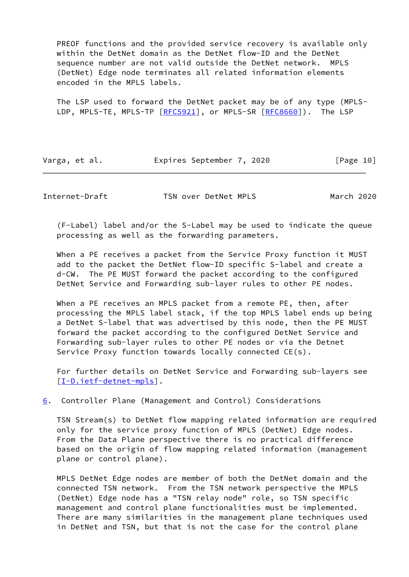PREOF functions and the provided service recovery is available only within the DetNet domain as the DetNet flow-ID and the DetNet sequence number are not valid outside the DetNet network. MPLS (DetNet) Edge node terminates all related information elements encoded in the MPLS labels.

 The LSP used to forward the DetNet packet may be of any type (MPLS- LDP, MPLS-TE, MPLS-TP [[RFC5921](https://datatracker.ietf.org/doc/pdf/rfc5921)], or MPLS-SR [\[RFC8660](https://datatracker.ietf.org/doc/pdf/rfc8660)]). The LSP

Varga, et al. Expires September 7, 2020 [Page 10]

<span id="page-11-1"></span>Internet-Draft TSN over DetNet MPLS March 2020

 (F-Label) label and/or the S-Label may be used to indicate the queue processing as well as the forwarding parameters.

 When a PE receives a packet from the Service Proxy function it MUST add to the packet the DetNet flow-ID specific S-label and create a d-CW. The PE MUST forward the packet according to the configured DetNet Service and Forwarding sub-layer rules to other PE nodes.

 When a PE receives an MPLS packet from a remote PE, then, after processing the MPLS label stack, if the top MPLS label ends up being a DetNet S-label that was advertised by this node, then the PE MUST forward the packet according to the configured DetNet Service and Forwarding sub-layer rules to other PE nodes or via the Detnet Service Proxy function towards locally connected CE(s).

 For further details on DetNet Service and Forwarding sub-layers see [\[I-D.ietf-detnet-mpls](#page-13-6)].

<span id="page-11-0"></span>[6](#page-11-0). Controller Plane (Management and Control) Considerations

 TSN Stream(s) to DetNet flow mapping related information are required only for the service proxy function of MPLS (DetNet) Edge nodes. From the Data Plane perspective there is no practical difference based on the origin of flow mapping related information (management plane or control plane).

 MPLS DetNet Edge nodes are member of both the DetNet domain and the connected TSN network. From the TSN network perspective the MPLS (DetNet) Edge node has a "TSN relay node" role, so TSN specific management and control plane functionalities must be implemented. There are many similarities in the management plane techniques used in DetNet and TSN, but that is not the case for the control plane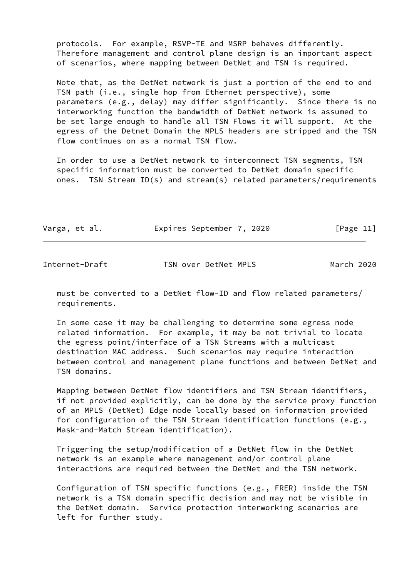protocols. For example, RSVP-TE and MSRP behaves differently. Therefore management and control plane design is an important aspect of scenarios, where mapping between DetNet and TSN is required.

 Note that, as the DetNet network is just a portion of the end to end TSN path (i.e., single hop from Ethernet perspective), some parameters (e.g., delay) may differ significantly. Since there is no interworking function the bandwidth of DetNet network is assumed to be set large enough to handle all TSN Flows it will support. At the egress of the Detnet Domain the MPLS headers are stripped and the TSN flow continues on as a normal TSN flow.

 In order to use a DetNet network to interconnect TSN segments, TSN specific information must be converted to DetNet domain specific ones. TSN Stream ID(s) and stream(s) related parameters/requirements

| Varga, et al. | Expires September 7, 2020 | [Page 11] |
|---------------|---------------------------|-----------|
|               |                           |           |

<span id="page-12-0"></span>Internet-Draft TSN over DetNet MPLS March 2020

 must be converted to a DetNet flow-ID and flow related parameters/ requirements.

 In some case it may be challenging to determine some egress node related information. For example, it may be not trivial to locate the egress point/interface of a TSN Streams with a multicast destination MAC address. Such scenarios may require interaction between control and management plane functions and between DetNet and TSN domains.

 Mapping between DetNet flow identifiers and TSN Stream identifiers, if not provided explicitly, can be done by the service proxy function of an MPLS (DetNet) Edge node locally based on information provided for configuration of the TSN Stream identification functions (e.g., Mask-and-Match Stream identification).

 Triggering the setup/modification of a DetNet flow in the DetNet network is an example where management and/or control plane interactions are required between the DetNet and the TSN network.

 Configuration of TSN specific functions (e.g., FRER) inside the TSN network is a TSN domain specific decision and may not be visible in the DetNet domain. Service protection interworking scenarios are left for further study.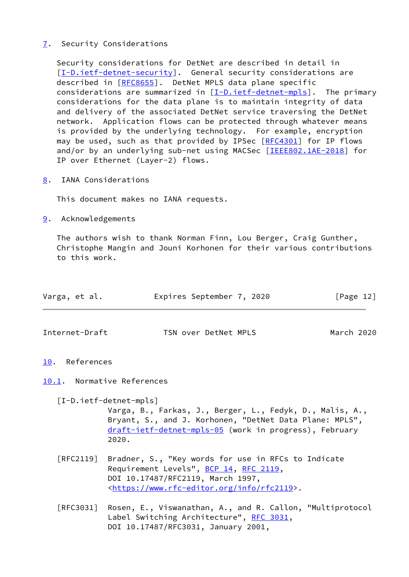### <span id="page-13-0"></span>[7](#page-13-0). Security Considerations

 Security considerations for DetNet are described in detail in [\[I-D.ietf-detnet-security](#page-14-6)]. General security considerations are described in [\[RFC8655](https://datatracker.ietf.org/doc/pdf/rfc8655)]. DetNet MPLS data plane specific considerations are summarized in [\[I-D.ietf-detnet-mpls](#page-13-6)]. The primary considerations for the data plane is to maintain integrity of data and delivery of the associated DetNet service traversing the DetNet network. Application flows can be protected through whatever means is provided by the underlying technology. For example, encryption may be used, such as that provided by IPSec [\[RFC4301](https://datatracker.ietf.org/doc/pdf/rfc4301)] for IP flows and/or by an underlying sub-net using MACSec [\[IEEE802.1AE-2018](#page-14-7)] for IP over Ethernet (Layer-2) flows.

<span id="page-13-1"></span>[8](#page-13-1). IANA Considerations

This document makes no IANA requests.

<span id="page-13-2"></span>[9](#page-13-2). Acknowledgements

 The authors wish to thank Norman Finn, Lou Berger, Craig Gunther, Christophe Mangin and Jouni Korhonen for their various contributions to this work.

<span id="page-13-5"></span><span id="page-13-4"></span><span id="page-13-3"></span>

| Varga, et al.  | Expires September 7, 2020                                                                                                                                                                                        | [Page 12]  |
|----------------|------------------------------------------------------------------------------------------------------------------------------------------------------------------------------------------------------------------|------------|
| Internet-Draft | TSN over DetNet MPLS                                                                                                                                                                                             | March 2020 |
| 10. References |                                                                                                                                                                                                                  |            |
|                | 10.1. Normative References                                                                                                                                                                                       |            |
|                | [I-D.ietf-detnet-mpls]<br>Varga, B., Farkas, J., Berger, L., Fedyk, D., Malis, A.,<br>Bryant, S., and J. Korhonen, "DetNet Data Plane: MPLS",<br>draft-ietf-detnet-mpls-05 (work in progress), February<br>2020. |            |
|                | [RFC2119] Bradner, S., "Key words for use in RFCs to Indicate<br>Requirement Levels", BCP 14, RFC 2119,<br>DOI 10.17487/RFC2119, March 1997,                                                                     |            |

<span id="page-13-6"></span><[https://www.rfc-editor.org/info/rfc2119>](https://www.rfc-editor.org/info/rfc2119).

 [RFC3031] Rosen, E., Viswanathan, A., and R. Callon, "Multiprotocol Label Switching Architecture", [RFC 3031](https://datatracker.ietf.org/doc/pdf/rfc3031), DOI 10.17487/RFC3031, January 2001,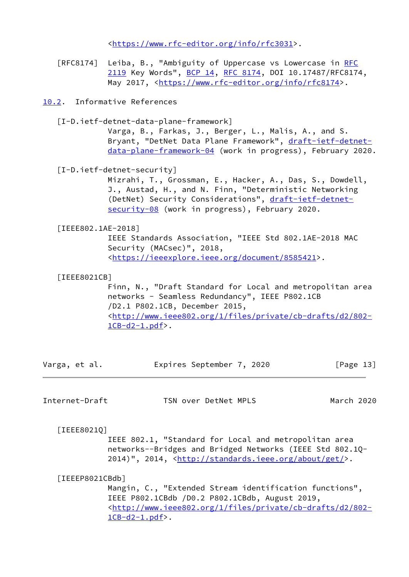<[https://www.rfc-editor.org/info/rfc3031>](https://www.rfc-editor.org/info/rfc3031).

[RFC8174] Leiba, B., "Ambiguity of Uppercase vs Lowercase in [RFC](https://datatracker.ietf.org/doc/pdf/rfc2119) [2119](https://datatracker.ietf.org/doc/pdf/rfc2119) Key Words", [BCP 14](https://datatracker.ietf.org/doc/pdf/bcp14), [RFC 8174,](https://datatracker.ietf.org/doc/pdf/rfc8174) DOI 10.17487/RFC8174, May 2017, [<https://www.rfc-editor.org/info/rfc8174](https://www.rfc-editor.org/info/rfc8174)>.

### <span id="page-14-0"></span>[10.2](#page-14-0). Informative References

<span id="page-14-2"></span>[I-D.ietf-detnet-data-plane-framework]

 Varga, B., Farkas, J., Berger, L., Malis, A., and S. Bryant, "DetNet Data Plane Framework", [draft-ietf-detnet](https://datatracker.ietf.org/doc/pdf/draft-ietf-detnet-data-plane-framework-04) [data-plane-framework-04](https://datatracker.ietf.org/doc/pdf/draft-ietf-detnet-data-plane-framework-04) (work in progress), February 2020.

<span id="page-14-6"></span>[I-D.ietf-detnet-security]

 Mizrahi, T., Grossman, E., Hacker, A., Das, S., Dowdell, J., Austad, H., and N. Finn, "Deterministic Networking (DetNet) Security Considerations", [draft-ietf-detnet](https://datatracker.ietf.org/doc/pdf/draft-ietf-detnet-security-08) [security-08](https://datatracker.ietf.org/doc/pdf/draft-ietf-detnet-security-08) (work in progress), February 2020.

<span id="page-14-7"></span>[IEEE802.1AE-2018]

 IEEE Standards Association, "IEEE Std 802.1AE-2018 MAC Security (MACsec)", 2018, <[https://ieeexplore.ieee.org/document/8585421>](https://ieeexplore.ieee.org/document/8585421).

<span id="page-14-4"></span>[IEEE8021CB]

 Finn, N., "Draft Standard for Local and metropolitan area networks - Seamless Redundancy", IEEE P802.1CB /D2.1 P802.1CB, December 2015, <[http://www.ieee802.org/1/files/private/cb-drafts/d2/802-](http://www.ieee802.org/1/files/private/cb-drafts/d2/802-1CB-d2-1.pdf) [1CB-d2-1.pdf>](http://www.ieee802.org/1/files/private/cb-drafts/d2/802-1CB-d2-1.pdf).

Varga, et al. **Expires September 7, 2020** [Page 13]

<span id="page-14-1"></span>Internet-Draft TSN over DetNet MPLS March 2020

<span id="page-14-3"></span>[IEEE8021Q]

 IEEE 802.1, "Standard for Local and metropolitan area networks--Bridges and Bridged Networks (IEEE Std 802.1Q- 2014)", 2014, [<http://standards.ieee.org/about/get/](http://standards.ieee.org/about/get/)>.

<span id="page-14-5"></span>[IEEEP8021CBdb]

 Mangin, C., "Extended Stream identification functions", IEEE P802.1CBdb /D0.2 P802.1CBdb, August 2019, <[http://www.ieee802.org/1/files/private/cb-drafts/d2/802-](http://www.ieee802.org/1/files/private/cb-drafts/d2/802-1CB-d2-1.pdf)  $1CB-d2-1.pdf$ .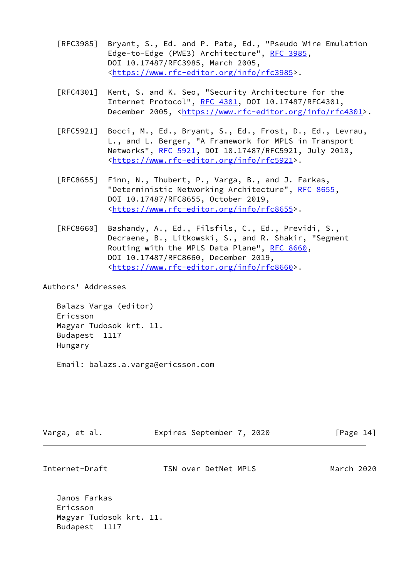- [RFC3985] Bryant, S., Ed. and P. Pate, Ed., "Pseudo Wire Emulation Edge-to-Edge (PWE3) Architecture", [RFC 3985](https://datatracker.ietf.org/doc/pdf/rfc3985), DOI 10.17487/RFC3985, March 2005, <[https://www.rfc-editor.org/info/rfc3985>](https://www.rfc-editor.org/info/rfc3985).
- [RFC4301] Kent, S. and K. Seo, "Security Architecture for the Internet Protocol", [RFC 4301,](https://datatracker.ietf.org/doc/pdf/rfc4301) DOI 10.17487/RFC4301, December 2005, <<https://www.rfc-editor.org/info/rfc4301>>.
- [RFC5921] Bocci, M., Ed., Bryant, S., Ed., Frost, D., Ed., Levrau, L., and L. Berger, "A Framework for MPLS in Transport Networks", [RFC 5921](https://datatracker.ietf.org/doc/pdf/rfc5921), DOI 10.17487/RFC5921, July 2010, <[https://www.rfc-editor.org/info/rfc5921>](https://www.rfc-editor.org/info/rfc5921).
- [RFC8655] Finn, N., Thubert, P., Varga, B., and J. Farkas, "Deterministic Networking Architecture", [RFC 8655,](https://datatracker.ietf.org/doc/pdf/rfc8655) DOI 10.17487/RFC8655, October 2019, <[https://www.rfc-editor.org/info/rfc8655>](https://www.rfc-editor.org/info/rfc8655).
- [RFC8660] Bashandy, A., Ed., Filsfils, C., Ed., Previdi, S., Decraene, B., Litkowski, S., and R. Shakir, "Segment Routing with the MPLS Data Plane", [RFC 8660](https://datatracker.ietf.org/doc/pdf/rfc8660), DOI 10.17487/RFC8660, December 2019, <[https://www.rfc-editor.org/info/rfc8660>](https://www.rfc-editor.org/info/rfc8660).

Authors' Addresses

 Balazs Varga (editor) Ericsson Magyar Tudosok krt. 11. Budapest 1117 Hungary

Email: balazs.a.varga@ericsson.com

| Varga, et al. | Expires September 7, 2020 |  | [Page 14] |
|---------------|---------------------------|--|-----------|
|               |                           |  |           |

| Internet-Draft | TSN over DetNet MPLS | March 2020 |
|----------------|----------------------|------------|
|                |                      |            |

 Janos Farkas Ericsson Magyar Tudosok krt. 11. Budapest 1117